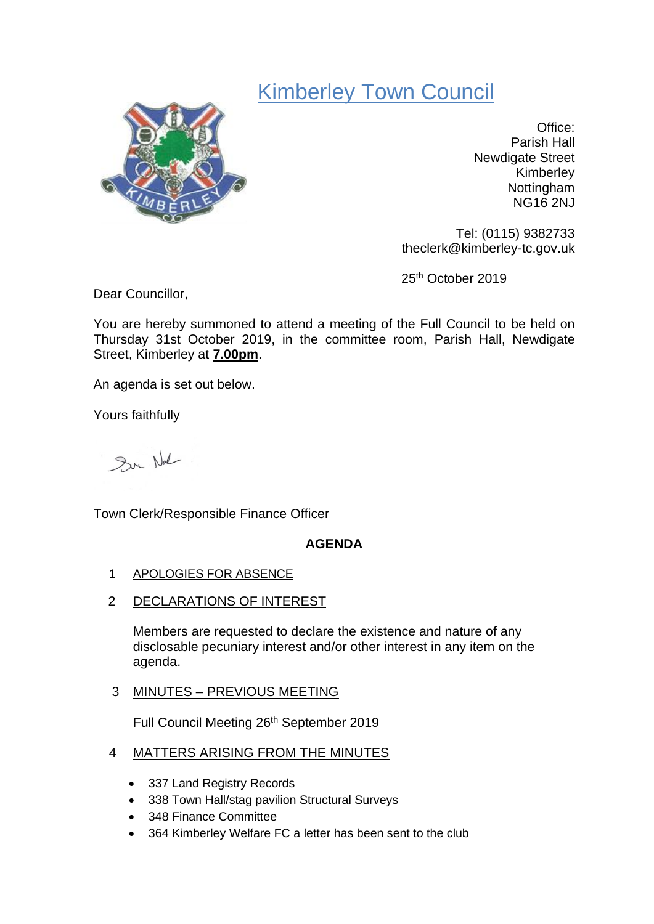# Kimberley Town Council



Office: Parish Hall Newdigate Street Kimberley Nottingham NG16 2NJ

Tel: (0115) 9382733 theclerk@kimberley-tc.gov.uk

25th October 2019

Dear Councillor,

You are hereby summoned to attend a meeting of the Full Council to be held on Thursday 31st October 2019, in the committee room, Parish Hall, Newdigate Street, Kimberley at **7.00pm**.

An agenda is set out below.

Yours faithfully

Sur Not

Town Clerk/Responsible Finance Officer

# **AGENDA**

- 1 APOLOGIES FOR ABSENCE
- 2 DECLARATIONS OF INTEREST

Members are requested to declare the existence and nature of any disclosable pecuniary interest and/or other interest in any item on the agenda.

3 MINUTES – PREVIOUS MEETING

Full Council Meeting 26th September 2019

- 4 MATTERS ARISING FROM THE MINUTES
	- 337 Land Registry Records
	- 338 Town Hall/stag pavilion Structural Surveys
	- 348 Finance Committee
	- 364 Kimberley Welfare FC a letter has been sent to the club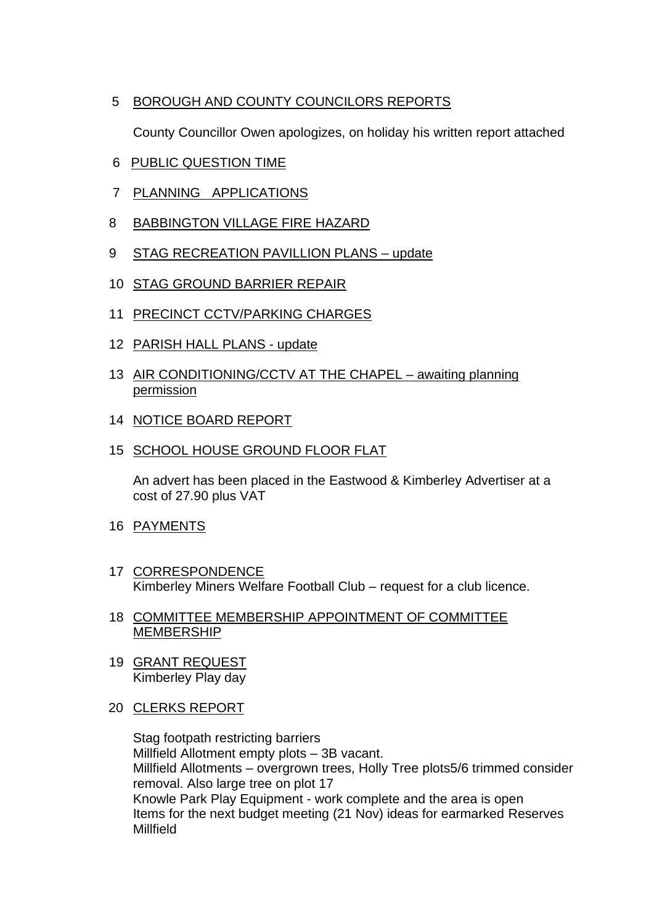# 5 BOROUGH AND COUNTY COUNCILORS REPORTS

County Councillor Owen apologizes, on holiday his written report attached

- 6 PUBLIC QUESTION TIME
- 7 PLANNING APPLICATIONS
- 8 BABBINGTON VILLAGE FIRE HAZARD
- 9 STAG RECREATION PAVILLION PLANS update
- 10 STAG GROUND BARRIER REPAIR
- 11 PRECINCT CCTV/PARKING CHARGES
- 12 PARISH HALL PLANS update
- 13 AIR CONDITIONING/CCTV AT THE CHAPEL awaiting planning permission
- 14 NOTICE BOARD REPORT
- 15 SCHOOL HOUSE GROUND FLOOR FLAT

An advert has been placed in the Eastwood & Kimberley Advertiser at a cost of 27.90 plus VAT

- 16 PAYMENTS
- 17 CORRESPONDENCE Kimberley Miners Welfare Football Club – request for a club licence.
- 18 COMMITTEE MEMBERSHIP APPOINTMENT OF COMMITTEE MEMBERSHIP
- 19 GRANT REQUEST Kimberley Play day
- 20 CLERKS REPORT

Stag footpath restricting barriers Millfield Allotment empty plots – 3B vacant. Millfield Allotments – overgrown trees, Holly Tree plots5/6 trimmed consider removal. Also large tree on plot 17 Knowle Park Play Equipment - work complete and the area is open Items for the next budget meeting (21 Nov) ideas for earmarked Reserves Millfield